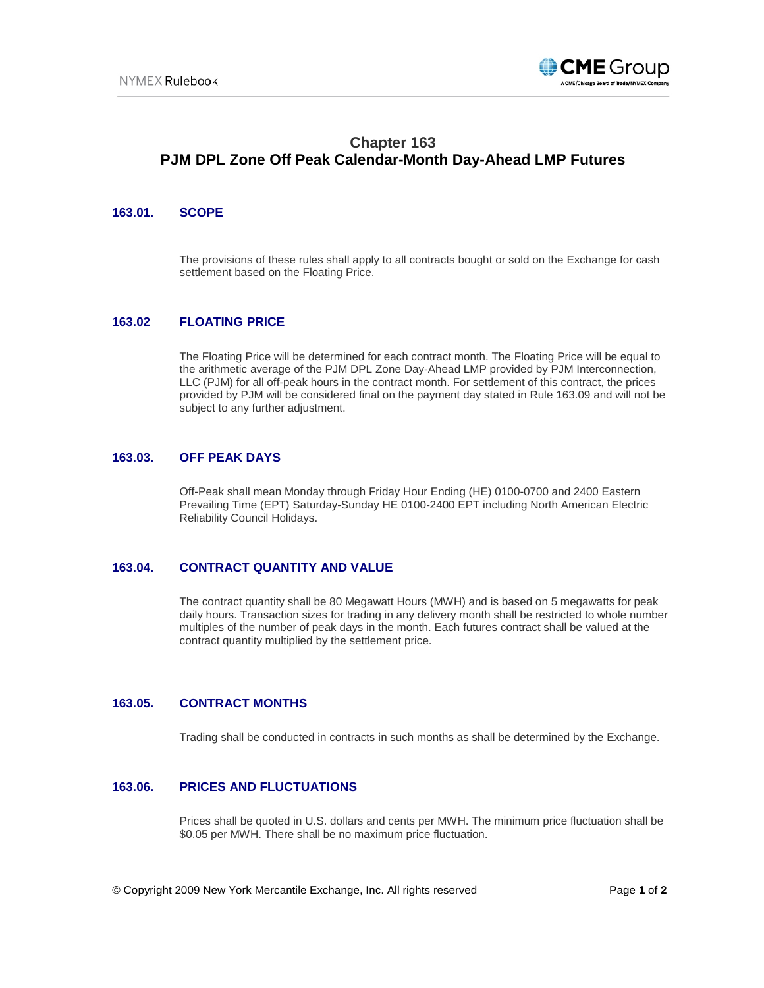

# **Chapter 163 PJM DPL Zone Off Peak Calendar-Month Day-Ahead LMP Futures**

## **163.01. SCOPE**

The provisions of these rules shall apply to all contracts bought or sold on the Exchange for cash settlement based on the Floating Price.

## **163.02 FLOATING PRICE**

The Floating Price will be determined for each contract month. The Floating Price will be equal to the arithmetic average of the PJM DPL Zone Day-Ahead LMP provided by PJM Interconnection, LLC (PJM) for all off-peak hours in the contract month. For settlement of this contract, the prices provided by PJM will be considered final on the payment day stated in Rule 163.09 and will not be subject to any further adjustment.

#### **163.03. OFF PEAK DAYS**

Off-Peak shall mean Monday through Friday Hour Ending (HE) 0100-0700 and 2400 Eastern Prevailing Time (EPT) Saturday-Sunday HE 0100-2400 EPT including North American Electric Reliability Council Holidays.

### **163.04. CONTRACT QUANTITY AND VALUE**

The contract quantity shall be 80 Megawatt Hours (MWH) and is based on 5 megawatts for peak daily hours. Transaction sizes for trading in any delivery month shall be restricted to whole number multiples of the number of peak days in the month. Each futures contract shall be valued at the contract quantity multiplied by the settlement price.

### **163.05. CONTRACT MONTHS**

Trading shall be conducted in contracts in such months as shall be determined by the Exchange.

#### **163.06. PRICES AND FLUCTUATIONS**

Prices shall be quoted in U.S. dollars and cents per MWH. The minimum price fluctuation shall be \$0.05 per MWH. There shall be no maximum price fluctuation.